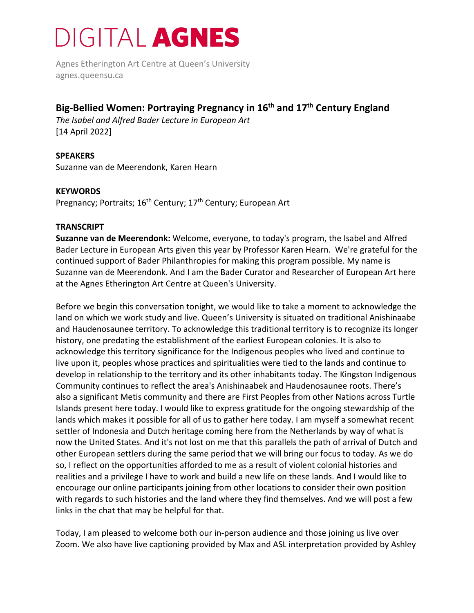Agnes Etherington Art Centre at Queen's University agnes.queensu.ca

#### **Big-Bellied Women: Portraying Pregnancy in 16th and 17th Century England**

*The Isabel and Alfred Bader Lecture in European Art*  [14 April 2022]

**SPEAKERS** Suzanne van de Meerendonk, Karen Hearn

#### **KEYWORDS**

Pregnancy; Portraits; 16<sup>th</sup> Century; 17<sup>th</sup> Century; European Art

#### **TRANSCRIPT**

**Suzanne van de Meerendonk:** Welcome, everyone, to today's program, the Isabel and Alfred Bader Lecture in European Arts given this year by Professor Karen Hearn. We're grateful for the continued support of Bader Philanthropies for making this program possible. My name is Suzanne van de Meerendonk. And I am the Bader Curator and Researcher of European Art here at the Agnes Etherington Art Centre at Queen's University.

Before we begin this conversation tonight, we would like to take a moment to acknowledge the land on which we work study and live. Queen's University is situated on traditional Anishinaabe and Haudenosaunee territory. To acknowledge this traditional territory is to recognize its longer history, one predating the establishment of the earliest European colonies. It is also to acknowledge this territory significance for the Indigenous peoples who lived and continue to live upon it, peoples whose practices and spiritualities were tied to the lands and continue to develop in relationship to the territory and its other inhabitants today. The Kingston Indigenous Community continues to reflect the area's Anishinaabek and Haudenosaunee roots. There's also a significant Metis community and there are First Peoples from other Nations across Turtle Islands present here today. I would like to express gratitude for the ongoing stewardship of the lands which makes it possible for all of us to gather here today. I am myself a somewhat recent settler of Indonesia and Dutch heritage coming here from the Netherlands by way of what is now the United States. And it's not lost on me that this parallels the path of arrival of Dutch and other European settlers during the same period that we will bring our focus to today. As we do so, I reflect on the opportunities afforded to me as a result of violent colonial histories and realities and a privilege I have to work and build a new life on these lands. And I would like to encourage our online participants joining from other locations to consider their own position with regards to such histories and the land where they find themselves. And we will post a few links in the chat that may be helpful for that.

Today, I am pleased to welcome both our in-person audience and those joining us live over Zoom. We also have live captioning provided by Max and ASL interpretation provided by Ashley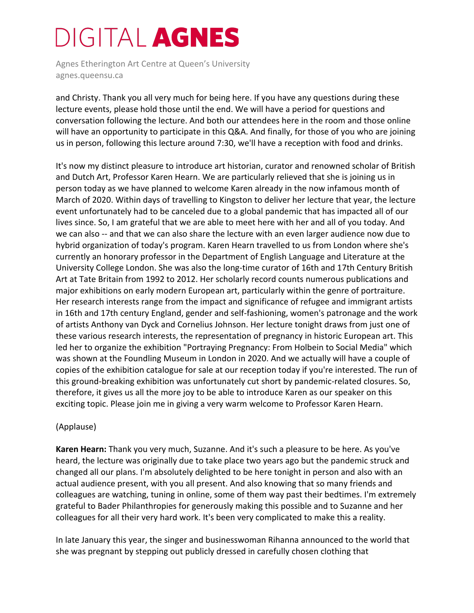Agnes Etherington Art Centre at Queen's University agnes.queensu.ca

and Christy. Thank you all very much for being here. If you have any questions during these lecture events, please hold those until the end. We will have a period for questions and conversation following the lecture. And both our attendees here in the room and those online will have an opportunity to participate in this Q&A. And finally, for those of you who are joining us in person, following this lecture around 7:30, we'll have a reception with food and drinks.

It's now my distinct pleasure to introduce art historian, curator and renowned scholar of British and Dutch Art, Professor Karen Hearn. We are particularly relieved that she is joining us in person today as we have planned to welcome Karen already in the now infamous month of March of 2020. Within days of travelling to Kingston to deliver her lecture that year, the lecture event unfortunately had to be canceled due to a global pandemic that has impacted all of our lives since. So, I am grateful that we are able to meet here with her and all of you today. And we can also -- and that we can also share the lecture with an even larger audience now due to hybrid organization of today's program. Karen Hearn travelled to us from London where she's currently an honorary professor in the Department of English Language and Literature at the University College London. She was also the long-time curator of 16th and 17th Century British Art at Tate Britain from 1992 to 2012. Her scholarly record counts numerous publications and major exhibitions on early modern European art, particularly within the genre of portraiture. Her research interests range from the impact and significance of refugee and immigrant artists in 16th and 17th century England, gender and self-fashioning, women's patronage and the work of artists Anthony van Dyck and Cornelius Johnson. Her lecture tonight draws from just one of these various research interests, the representation of pregnancy in historic European art. This led her to organize the exhibition "Portraying Pregnancy: From Holbein to Social Media" which was shown at the Foundling Museum in London in 2020. And we actually will have a couple of copies of the exhibition catalogue for sale at our reception today if you're interested. The run of this ground-breaking exhibition was unfortunately cut short by pandemic-related closures. So, therefore, it gives us all the more joy to be able to introduce Karen as our speaker on this exciting topic. Please join me in giving a very warm welcome to Professor Karen Hearn.

#### (Applause)

**Karen Hearn:** Thank you very much, Suzanne. And it's such a pleasure to be here. As you've heard, the lecture was originally due to take place two years ago but the pandemic struck and changed all our plans. I'm absolutely delighted to be here tonight in person and also with an actual audience present, with you all present. And also knowing that so many friends and colleagues are watching, tuning in online, some of them way past their bedtimes. I'm extremely grateful to Bader Philanthropies for generously making this possible and to Suzanne and her colleagues for all their very hard work. It's been very complicated to make this a reality.

In late January this year, the singer and businesswoman Rihanna announced to the world that she was pregnant by stepping out publicly dressed in carefully chosen clothing that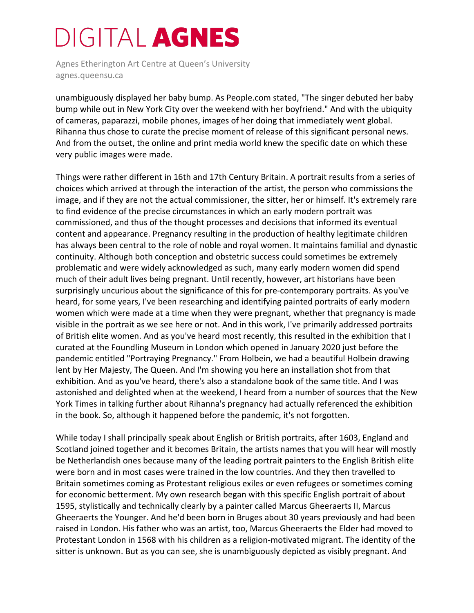Agnes Etherington Art Centre at Queen's University agnes.queensu.ca

unambiguously displayed her baby bump. As People.com stated, "The singer debuted her baby bump while out in New York City over the weekend with her boyfriend." And with the ubiquity of cameras, paparazzi, mobile phones, images of her doing that immediately went global. Rihanna thus chose to curate the precise moment of release of this significant personal news. And from the outset, the online and print media world knew the specific date on which these very public images were made.

Things were rather different in 16th and 17th Century Britain. A portrait results from a series of choices which arrived at through the interaction of the artist, the person who commissions the image, and if they are not the actual commissioner, the sitter, her or himself. It's extremely rare to find evidence of the precise circumstances in which an early modern portrait was commissioned, and thus of the thought processes and decisions that informed its eventual content and appearance. Pregnancy resulting in the production of healthy legitimate children has always been central to the role of noble and royal women. It maintains familial and dynastic continuity. Although both conception and obstetric success could sometimes be extremely problematic and were widely acknowledged as such, many early modern women did spend much of their adult lives being pregnant. Until recently, however, art historians have been surprisingly uncurious about the significance of this for pre-contemporary portraits. As you've heard, for some years, I've been researching and identifying painted portraits of early modern women which were made at a time when they were pregnant, whether that pregnancy is made visible in the portrait as we see here or not. And in this work, I've primarily addressed portraits of British elite women. And as you've heard most recently, this resulted in the exhibition that I curated at the Foundling Museum in London which opened in January 2020 just before the pandemic entitled "Portraying Pregnancy." From Holbein, we had a beautiful Holbein drawing lent by Her Majesty, The Queen. And I'm showing you here an installation shot from that exhibition. And as you've heard, there's also a standalone book of the same title. And I was astonished and delighted when at the weekend, I heard from a number of sources that the New York Times in talking further about Rihanna's pregnancy had actually referenced the exhibition in the book. So, although it happened before the pandemic, it's not forgotten.

While today I shall principally speak about English or British portraits, after 1603, England and Scotland joined together and it becomes Britain, the artists names that you will hear will mostly be Netherlandish ones because many of the leading portrait painters to the English British elite were born and in most cases were trained in the low countries. And they then travelled to Britain sometimes coming as Protestant religious exiles or even refugees or sometimes coming for economic betterment. My own research began with this specific English portrait of about 1595, stylistically and technically clearly by a painter called Marcus Gheeraerts II, Marcus Gheeraerts the Younger. And he'd been born in Bruges about 30 years previously and had been raised in London. His father who was an artist, too, Marcus Gheeraerts the Elder had moved to Protestant London in 1568 with his children as a religion-motivated migrant. The identity of the sitter is unknown. But as you can see, she is unambiguously depicted as visibly pregnant. And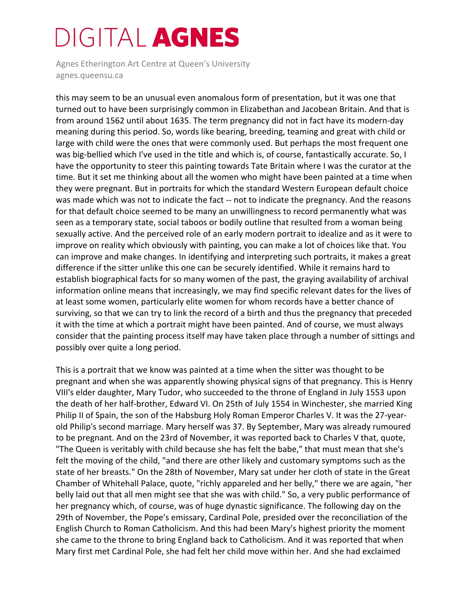Agnes Etherington Art Centre at Queen's University agnes.queensu.ca

this may seem to be an unusual even anomalous form of presentation, but it was one that turned out to have been surprisingly common in Elizabethan and Jacobean Britain. And that is from around 1562 until about 1635. The term pregnancy did not in fact have its modern-day meaning during this period. So, words like bearing, breeding, teaming and great with child or large with child were the ones that were commonly used. But perhaps the most frequent one was big-bellied which I've used in the title and which is, of course, fantastically accurate. So, I have the opportunity to steer this painting towards Tate Britain where I was the curator at the time. But it set me thinking about all the women who might have been painted at a time when they were pregnant. But in portraits for which the standard Western European default choice was made which was not to indicate the fact -- not to indicate the pregnancy. And the reasons for that default choice seemed to be many an unwillingness to record permanently what was seen as a temporary state, social taboos or bodily outline that resulted from a woman being sexually active. And the perceived role of an early modern portrait to idealize and as it were to improve on reality which obviously with painting, you can make a lot of choices like that. You can improve and make changes. In identifying and interpreting such portraits, it makes a great difference if the sitter unlike this one can be securely identified. While it remains hard to establish biographical facts for so many women of the past, the graying availability of archival information online means that increasingly, we may find specific relevant dates for the lives of at least some women, particularly elite women for whom records have a better chance of surviving, so that we can try to link the record of a birth and thus the pregnancy that preceded it with the time at which a portrait might have been painted. And of course, we must always consider that the painting process itself may have taken place through a number of sittings and possibly over quite a long period.

This is a portrait that we know was painted at a time when the sitter was thought to be pregnant and when she was apparently showing physical signs of that pregnancy. This is Henry VIII's elder daughter, Mary Tudor, who succeeded to the throne of England in July 1553 upon the death of her half-brother, Edward VI. On 25th of July 1554 in Winchester, she married King Philip II of Spain, the son of the Habsburg Holy Roman Emperor Charles V. It was the 27-yearold Philip's second marriage. Mary herself was 37. By September, Mary was already rumoured to be pregnant. And on the 23rd of November, it was reported back to Charles V that, quote, "The Queen is veritably with child because she has felt the babe," that must mean that she's felt the moving of the child, "and there are other likely and customary symptoms such as the state of her breasts." On the 28th of November, Mary sat under her cloth of state in the Great Chamber of Whitehall Palace, quote, "richly appareled and her belly," there we are again, "her belly laid out that all men might see that she was with child." So, a very public performance of her pregnancy which, of course, was of huge dynastic significance. The following day on the 29th of November, the Pope's emissary, Cardinal Pole, presided over the reconciliation of the English Church to Roman Catholicism. And this had been Mary's highest priority the moment she came to the throne to bring England back to Catholicism. And it was reported that when Mary first met Cardinal Pole, she had felt her child move within her. And she had exclaimed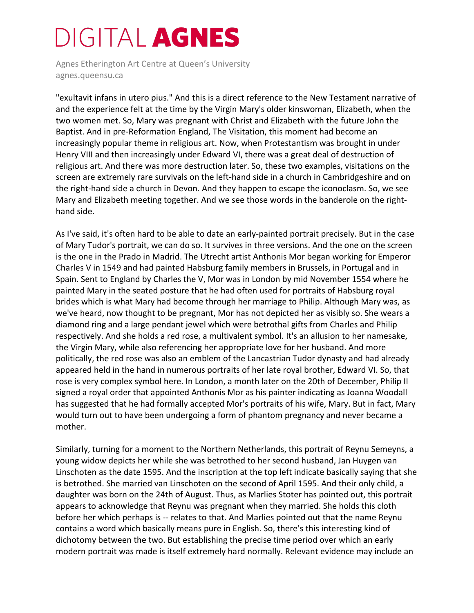Agnes Etherington Art Centre at Queen's University agnes.queensu.ca

"exultavit infans in utero pius." And this is a direct reference to the New Testament narrative of and the experience felt at the time by the Virgin Mary's older kinswoman, Elizabeth, when the two women met. So, Mary was pregnant with Christ and Elizabeth with the future John the Baptist. And in pre-Reformation England, The Visitation, this moment had become an increasingly popular theme in religious art. Now, when Protestantism was brought in under Henry VIII and then increasingly under Edward VI, there was a great deal of destruction of religious art. And there was more destruction later. So, these two examples, visitations on the screen are extremely rare survivals on the left-hand side in a church in Cambridgeshire and on the right-hand side a church in Devon. And they happen to escape the iconoclasm. So, we see Mary and Elizabeth meeting together. And we see those words in the banderole on the righthand side.

As I've said, it's often hard to be able to date an early-painted portrait precisely. But in the case of Mary Tudor's portrait, we can do so. It survives in three versions. And the one on the screen is the one in the Prado in Madrid. The Utrecht artist Anthonis Mor began working for Emperor Charles V in 1549 and had painted Habsburg family members in Brussels, in Portugal and in Spain. Sent to England by Charles the V, Mor was in London by mid November 1554 where he painted Mary in the seated posture that he had often used for portraits of Habsburg royal brides which is what Mary had become through her marriage to Philip. Although Mary was, as we've heard, now thought to be pregnant, Mor has not depicted her as visibly so. She wears a diamond ring and a large pendant jewel which were betrothal gifts from Charles and Philip respectively. And she holds a red rose, a multivalent symbol. It's an allusion to her namesake, the Virgin Mary, while also referencing her appropriate love for her husband. And more politically, the red rose was also an emblem of the Lancastrian Tudor dynasty and had already appeared held in the hand in numerous portraits of her late royal brother, Edward VI. So, that rose is very complex symbol here. In London, a month later on the 20th of December, Philip II signed a royal order that appointed Anthonis Mor as his painter indicating as Joanna Woodall has suggested that he had formally accepted Mor's portraits of his wife, Mary. But in fact, Mary would turn out to have been undergoing a form of phantom pregnancy and never became a mother.

Similarly, turning for a moment to the Northern Netherlands, this portrait of Reynu Semeyns, a young widow depicts her while she was betrothed to her second husband, Jan Huygen van Linschoten as the date 1595. And the inscription at the top left indicate basically saying that she is betrothed. She married van Linschoten on the second of April 1595. And their only child, a daughter was born on the 24th of August. Thus, as Marlies Stoter has pointed out, this portrait appears to acknowledge that Reynu was pregnant when they married. She holds this cloth before her which perhaps is -- relates to that. And Marlies pointed out that the name Reynu contains a word which basically means pure in English. So, there's this interesting kind of dichotomy between the two. But establishing the precise time period over which an early modern portrait was made is itself extremely hard normally. Relevant evidence may include an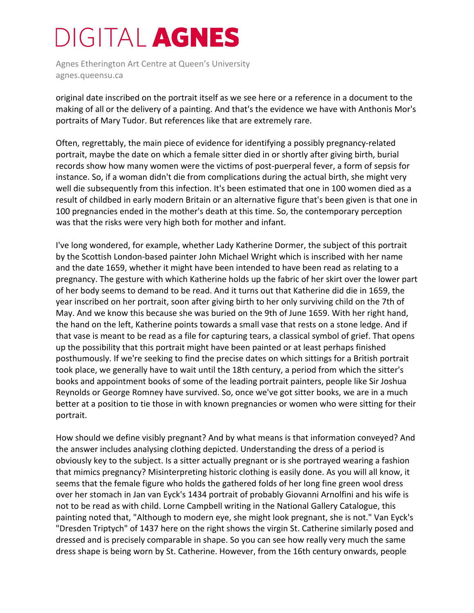Agnes Etherington Art Centre at Queen's University agnes.queensu.ca

original date inscribed on the portrait itself as we see here or a reference in a document to the making of all or the delivery of a painting. And that's the evidence we have with Anthonis Mor's portraits of Mary Tudor. But references like that are extremely rare.

Often, regrettably, the main piece of evidence for identifying a possibly pregnancy-related portrait, maybe the date on which a female sitter died in or shortly after giving birth, burial records show how many women were the victims of post-puerperal fever, a form of sepsis for instance. So, if a woman didn't die from complications during the actual birth, she might very well die subsequently from this infection. It's been estimated that one in 100 women died as a result of childbed in early modern Britain or an alternative figure that's been given is that one in 100 pregnancies ended in the mother's death at this time. So, the contemporary perception was that the risks were very high both for mother and infant.

I've long wondered, for example, whether Lady Katherine Dormer, the subject of this portrait by the Scottish London-based painter John Michael Wright which is inscribed with her name and the date 1659, whether it might have been intended to have been read as relating to a pregnancy. The gesture with which Katherine holds up the fabric of her skirt over the lower part of her body seems to demand to be read. And it turns out that Katherine did die in 1659, the year inscribed on her portrait, soon after giving birth to her only surviving child on the 7th of May. And we know this because she was buried on the 9th of June 1659. With her right hand, the hand on the left, Katherine points towards a small vase that rests on a stone ledge. And if that vase is meant to be read as a file for capturing tears, a classical symbol of grief. That opens up the possibility that this portrait might have been painted or at least perhaps finished posthumously. If we're seeking to find the precise dates on which sittings for a British portrait took place, we generally have to wait until the 18th century, a period from which the sitter's books and appointment books of some of the leading portrait painters, people like Sir Joshua Reynolds or George Romney have survived. So, once we've got sitter books, we are in a much better at a position to tie those in with known pregnancies or women who were sitting for their portrait.

How should we define visibly pregnant? And by what means is that information conveyed? And the answer includes analysing clothing depicted. Understanding the dress of a period is obviously key to the subject. Is a sitter actually pregnant or is she portrayed wearing a fashion that mimics pregnancy? Misinterpreting historic clothing is easily done. As you will all know, it seems that the female figure who holds the gathered folds of her long fine green wool dress over her stomach in Jan van Eyck's 1434 portrait of probably Giovanni Arnolfini and his wife is not to be read as with child. Lorne Campbell writing in the National Gallery Catalogue, this painting noted that, "Although to modern eye, she might look pregnant, she is not." Van Eyck's "Dresden Triptych" of 1437 here on the right shows the virgin St. Catherine similarly posed and dressed and is precisely comparable in shape. So you can see how really very much the same dress shape is being worn by St. Catherine. However, from the 16th century onwards, people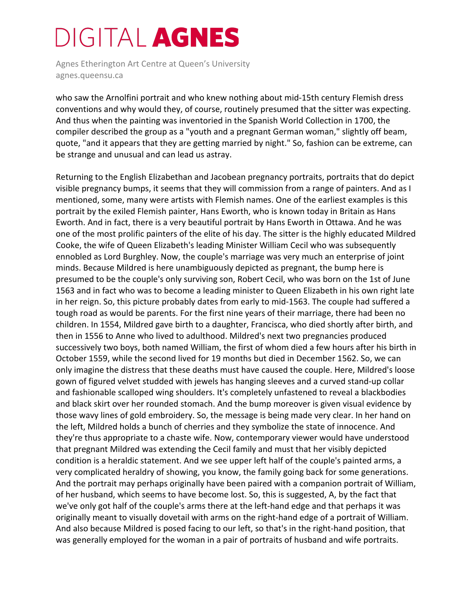Agnes Etherington Art Centre at Queen's University agnes.queensu.ca

who saw the Arnolfini portrait and who knew nothing about mid-15th century Flemish dress conventions and why would they, of course, routinely presumed that the sitter was expecting. And thus when the painting was inventoried in the Spanish World Collection in 1700, the compiler described the group as a "youth and a pregnant German woman," slightly off beam, quote, "and it appears that they are getting married by night." So, fashion can be extreme, can be strange and unusual and can lead us astray.

Returning to the English Elizabethan and Jacobean pregnancy portraits, portraits that do depict visible pregnancy bumps, it seems that they will commission from a range of painters. And as I mentioned, some, many were artists with Flemish names. One of the earliest examples is this portrait by the exiled Flemish painter, Hans Eworth, who is known today in Britain as Hans Eworth. And in fact, there is a very beautiful portrait by Hans Eworth in Ottawa. And he was one of the most prolific painters of the elite of his day. The sitter is the highly educated Mildred Cooke, the wife of Queen Elizabeth's leading Minister William Cecil who was subsequently ennobled as Lord Burghley. Now, the couple's marriage was very much an enterprise of joint minds. Because Mildred is here unambiguously depicted as pregnant, the bump here is presumed to be the couple's only surviving son, Robert Cecil, who was born on the 1st of June 1563 and in fact who was to become a leading minister to Queen Elizabeth in his own right late in her reign. So, this picture probably dates from early to mid-1563. The couple had suffered a tough road as would be parents. For the first nine years of their marriage, there had been no children. In 1554, Mildred gave birth to a daughter, Francisca, who died shortly after birth, and then in 1556 to Anne who lived to adulthood. Mildred's next two pregnancies produced successively two boys, both named William, the first of whom died a few hours after his birth in October 1559, while the second lived for 19 months but died in December 1562. So, we can only imagine the distress that these deaths must have caused the couple. Here, Mildred's loose gown of figured velvet studded with jewels has hanging sleeves and a curved stand-up collar and fashionable scalloped wing shoulders. It's completely unfastened to reveal a blackbodies and black skirt over her rounded stomach. And the bump moreover is given visual evidence by those wavy lines of gold embroidery. So, the message is being made very clear. In her hand on the left, Mildred holds a bunch of cherries and they symbolize the state of innocence. And they're thus appropriate to a chaste wife. Now, contemporary viewer would have understood that pregnant Mildred was extending the Cecil family and must that her visibly depicted condition is a heraldic statement. And we see upper left half of the couple's painted arms, a very complicated heraldry of showing, you know, the family going back for some generations. And the portrait may perhaps originally have been paired with a companion portrait of William, of her husband, which seems to have become lost. So, this is suggested, A, by the fact that we've only got half of the couple's arms there at the left-hand edge and that perhaps it was originally meant to visually dovetail with arms on the right-hand edge of a portrait of William. And also because Mildred is posed facing to our left, so that's in the right-hand position, that was generally employed for the woman in a pair of portraits of husband and wife portraits.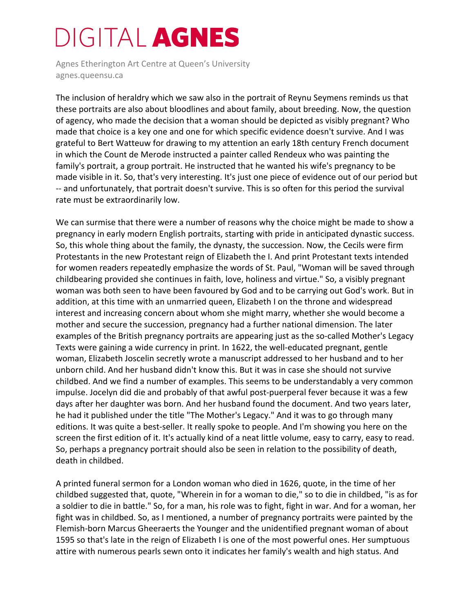Agnes Etherington Art Centre at Queen's University agnes.queensu.ca

The inclusion of heraldry which we saw also in the portrait of Reynu Seymens reminds us that these portraits are also about bloodlines and about family, about breeding. Now, the question of agency, who made the decision that a woman should be depicted as visibly pregnant? Who made that choice is a key one and one for which specific evidence doesn't survive. And I was grateful to Bert Watteuw for drawing to my attention an early 18th century French document in which the Count de Merode instructed a painter called Rendeux who was painting the family's portrait, a group portrait. He instructed that he wanted his wife's pregnancy to be made visible in it. So, that's very interesting. It's just one piece of evidence out of our period but -- and unfortunately, that portrait doesn't survive. This is so often for this period the survival rate must be extraordinarily low.

We can surmise that there were a number of reasons why the choice might be made to show a pregnancy in early modern English portraits, starting with pride in anticipated dynastic success. So, this whole thing about the family, the dynasty, the succession. Now, the Cecils were firm Protestants in the new Protestant reign of Elizabeth the I. And print Protestant texts intended for women readers repeatedly emphasize the words of St. Paul, "Woman will be saved through childbearing provided she continues in faith, love, holiness and virtue." So, a visibly pregnant woman was both seen to have been favoured by God and to be carrying out God's work. But in addition, at this time with an unmarried queen, Elizabeth I on the throne and widespread interest and increasing concern about whom she might marry, whether she would become a mother and secure the succession, pregnancy had a further national dimension. The later examples of the British pregnancy portraits are appearing just as the so-called Mother's Legacy Texts were gaining a wide currency in print. In 1622, the well-educated pregnant, gentle woman, Elizabeth Joscelin secretly wrote a manuscript addressed to her husband and to her unborn child. And her husband didn't know this. But it was in case she should not survive childbed. And we find a number of examples. This seems to be understandably a very common impulse. Jocelyn did die and probably of that awful post-puerperal fever because it was a few days after her daughter was born. And her husband found the document. And two years later, he had it published under the title "The Mother's Legacy." And it was to go through many editions. It was quite a best-seller. It really spoke to people. And I'm showing you here on the screen the first edition of it. It's actually kind of a neat little volume, easy to carry, easy to read. So, perhaps a pregnancy portrait should also be seen in relation to the possibility of death, death in childbed.

A printed funeral sermon for a London woman who died in 1626, quote, in the time of her childbed suggested that, quote, "Wherein in for a woman to die," so to die in childbed, "is as for a soldier to die in battle." So, for a man, his role was to fight, fight in war. And for a woman, her fight was in childbed. So, as I mentioned, a number of pregnancy portraits were painted by the Flemish-born Marcus Gheeraerts the Younger and the unidentified pregnant woman of about 1595 so that's late in the reign of Elizabeth I is one of the most powerful ones. Her sumptuous attire with numerous pearls sewn onto it indicates her family's wealth and high status. And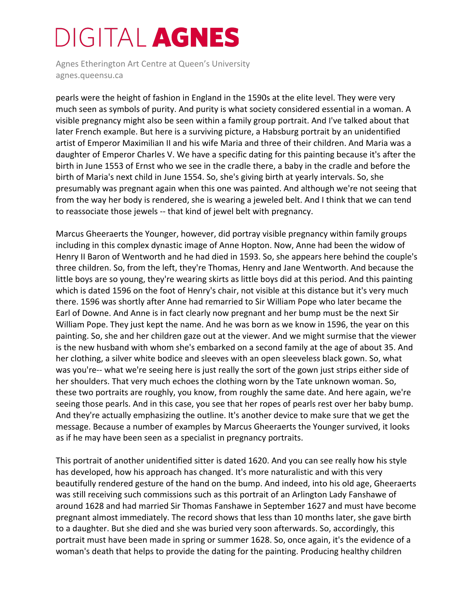Agnes Etherington Art Centre at Queen's University agnes.queensu.ca

pearls were the height of fashion in England in the 1590s at the elite level. They were very much seen as symbols of purity. And purity is what society considered essential in a woman. A visible pregnancy might also be seen within a family group portrait. And I've talked about that later French example. But here is a surviving picture, a Habsburg portrait by an unidentified artist of Emperor Maximilian II and his wife Maria and three of their children. And Maria was a daughter of Emperor Charles V. We have a specific dating for this painting because it's after the birth in June 1553 of Ernst who we see in the cradle there, a baby in the cradle and before the birth of Maria's next child in June 1554. So, she's giving birth at yearly intervals. So, she presumably was pregnant again when this one was painted. And although we're not seeing that from the way her body is rendered, she is wearing a jeweled belt. And I think that we can tend to reassociate those jewels -- that kind of jewel belt with pregnancy.

Marcus Gheeraerts the Younger, however, did portray visible pregnancy within family groups including in this complex dynastic image of Anne Hopton. Now, Anne had been the widow of Henry II Baron of Wentworth and he had died in 1593. So, she appears here behind the couple's three children. So, from the left, they're Thomas, Henry and Jane Wentworth. And because the little boys are so young, they're wearing skirts as little boys did at this period. And this painting which is dated 1596 on the foot of Henry's chair, not visible at this distance but it's very much there. 1596 was shortly after Anne had remarried to Sir William Pope who later became the Earl of Downe. And Anne is in fact clearly now pregnant and her bump must be the next Sir William Pope. They just kept the name. And he was born as we know in 1596, the year on this painting. So, she and her children gaze out at the viewer. And we might surmise that the viewer is the new husband with whom she's embarked on a second family at the age of about 35. And her clothing, a silver white bodice and sleeves with an open sleeveless black gown. So, what was you're-- what we're seeing here is just really the sort of the gown just strips either side of her shoulders. That very much echoes the clothing worn by the Tate unknown woman. So, these two portraits are roughly, you know, from roughly the same date. And here again, we're seeing those pearls. And in this case, you see that her ropes of pearls rest over her baby bump. And they're actually emphasizing the outline. It's another device to make sure that we get the message. Because a number of examples by Marcus Gheeraerts the Younger survived, it looks as if he may have been seen as a specialist in pregnancy portraits.

This portrait of another unidentified sitter is dated 1620. And you can see really how his style has developed, how his approach has changed. It's more naturalistic and with this very beautifully rendered gesture of the hand on the bump. And indeed, into his old age, Gheeraerts was still receiving such commissions such as this portrait of an Arlington Lady Fanshawe of around 1628 and had married Sir Thomas Fanshawe in September 1627 and must have become pregnant almost immediately. The record shows that less than 10 months later, she gave birth to a daughter. But she died and she was buried very soon afterwards. So, accordingly, this portrait must have been made in spring or summer 1628. So, once again, it's the evidence of a woman's death that helps to provide the dating for the painting. Producing healthy children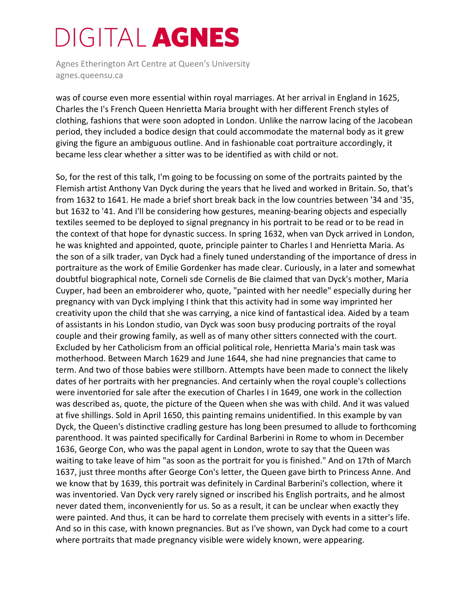Agnes Etherington Art Centre at Queen's University agnes.queensu.ca

was of course even more essential within royal marriages. At her arrival in England in 1625, Charles the I's French Queen Henrietta Maria brought with her different French styles of clothing, fashions that were soon adopted in London. Unlike the narrow lacing of the Jacobean period, they included a bodice design that could accommodate the maternal body as it grew giving the figure an ambiguous outline. And in fashionable coat portraiture accordingly, it became less clear whether a sitter was to be identified as with child or not.

So, for the rest of this talk, I'm going to be focussing on some of the portraits painted by the Flemish artist Anthony Van Dyck during the years that he lived and worked in Britain. So, that's from 1632 to 1641. He made a brief short break back in the low countries between '34 and '35, but 1632 to '41. And I'll be considering how gestures, meaning-bearing objects and especially textiles seemed to be deployed to signal pregnancy in his portrait to be read or to be read in the context of that hope for dynastic success. In spring 1632, when van Dyck arrived in London, he was knighted and appointed, quote, principle painter to Charles I and Henrietta Maria. As the son of a silk trader, van Dyck had a finely tuned understanding of the importance of dress in portraiture as the work of Emilie Gordenker has made clear. Curiously, in a later and somewhat doubtful biographical note, Corneli sde Cornelis de Bie claimed that van Dyck's mother, Maria Cuyper, had been an embroiderer who, quote, "painted with her needle" especially during her pregnancy with van Dyck implying I think that this activity had in some way imprinted her creativity upon the child that she was carrying, a nice kind of fantastical idea. Aided by a team of assistants in his London studio, van Dyck was soon busy producing portraits of the royal couple and their growing family, as well as of many other sitters connected with the court. Excluded by her Catholicism from an official political role, Henrietta Maria's main task was motherhood. Between March 1629 and June 1644, she had nine pregnancies that came to term. And two of those babies were stillborn. Attempts have been made to connect the likely dates of her portraits with her pregnancies. And certainly when the royal couple's collections were inventoried for sale after the execution of Charles I in 1649, one work in the collection was described as, quote, the picture of the Queen when she was with child. And it was valued at five shillings. Sold in April 1650, this painting remains unidentified. In this example by van Dyck, the Queen's distinctive cradling gesture has long been presumed to allude to forthcoming parenthood. It was painted specifically for Cardinal Barberini in Rome to whom in December 1636, George Con, who was the papal agent in London, wrote to say that the Queen was waiting to take leave of him "as soon as the portrait for you is finished." And on 17th of March 1637, just three months after George Con's letter, the Queen gave birth to Princess Anne. And we know that by 1639, this portrait was definitely in Cardinal Barberini's collection, where it was inventoried. Van Dyck very rarely signed or inscribed his English portraits, and he almost never dated them, inconveniently for us. So as a result, it can be unclear when exactly they were painted. And thus, it can be hard to correlate them precisely with events in a sitter's life. And so in this case, with known pregnancies. But as I've shown, van Dyck had come to a court where portraits that made pregnancy visible were widely known, were appearing.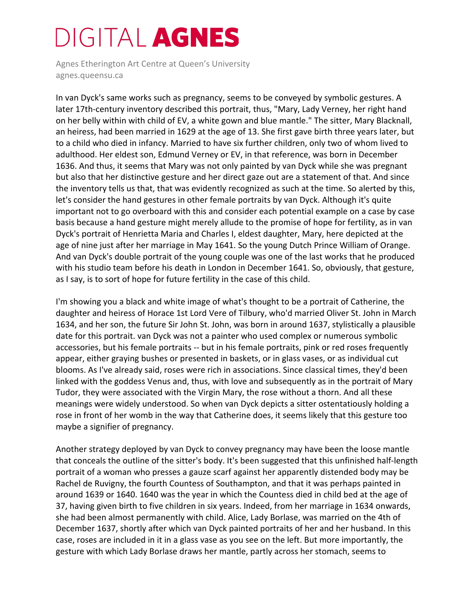Agnes Etherington Art Centre at Queen's University agnes.queensu.ca

In van Dyck's same works such as pregnancy, seems to be conveyed by symbolic gestures. A later 17th-century inventory described this portrait, thus, "Mary, Lady Verney, her right hand on her belly within with child of EV, a white gown and blue mantle." The sitter, Mary Blacknall, an heiress, had been married in 1629 at the age of 13. She first gave birth three years later, but to a child who died in infancy. Married to have six further children, only two of whom lived to adulthood. Her eldest son, Edmund Verney or EV, in that reference, was born in December 1636. And thus, it seems that Mary was not only painted by van Dyck while she was pregnant but also that her distinctive gesture and her direct gaze out are a statement of that. And since the inventory tells us that, that was evidently recognized as such at the time. So alerted by this, let's consider the hand gestures in other female portraits by van Dyck. Although it's quite important not to go overboard with this and consider each potential example on a case by case basis because a hand gesture might merely allude to the promise of hope for fertility, as in van Dyck's portrait of Henrietta Maria and Charles I, eldest daughter, Mary, here depicted at the age of nine just after her marriage in May 1641. So the young Dutch Prince William of Orange. And van Dyck's double portrait of the young couple was one of the last works that he produced with his studio team before his death in London in December 1641. So, obviously, that gesture, as I say, is to sort of hope for future fertility in the case of this child.

I'm showing you a black and white image of what's thought to be a portrait of Catherine, the daughter and heiress of Horace 1st Lord Vere of Tilbury, who'd married Oliver St. John in March 1634, and her son, the future Sir John St. John, was born in around 1637, stylistically a plausible date for this portrait. van Dyck was not a painter who used complex or numerous symbolic accessories, but his female portraits -- but in his female portraits, pink or red roses frequently appear, either graying bushes or presented in baskets, or in glass vases, or as individual cut blooms. As I've already said, roses were rich in associations. Since classical times, they'd been linked with the goddess Venus and, thus, with love and subsequently as in the portrait of Mary Tudor, they were associated with the Virgin Mary, the rose without a thorn. And all these meanings were widely understood. So when van Dyck depicts a sitter ostentatiously holding a rose in front of her womb in the way that Catherine does, it seems likely that this gesture too maybe a signifier of pregnancy.

Another strategy deployed by van Dyck to convey pregnancy may have been the loose mantle that conceals the outline of the sitter's body. It's been suggested that this unfinished half-length portrait of a woman who presses a gauze scarf against her apparently distended body may be Rachel de Ruvigny, the fourth Countess of Southampton, and that it was perhaps painted in around 1639 or 1640. 1640 was the year in which the Countess died in child bed at the age of 37, having given birth to five children in six years. Indeed, from her marriage in 1634 onwards, she had been almost permanently with child. Alice, Lady Borlase, was married on the 4th of December 1637, shortly after which van Dyck painted portraits of her and her husband. In this case, roses are included in it in a glass vase as you see on the left. But more importantly, the gesture with which Lady Borlase draws her mantle, partly across her stomach, seems to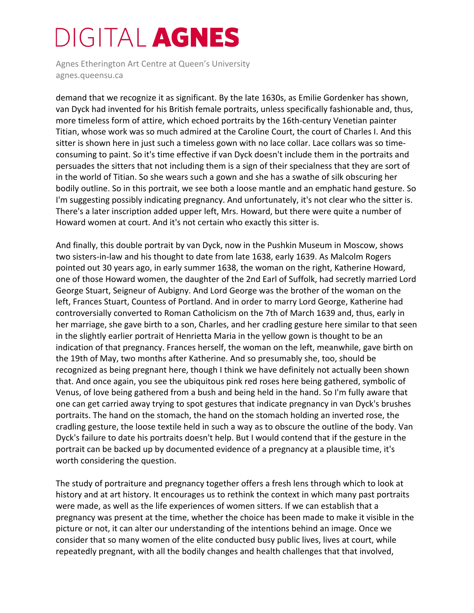Agnes Etherington Art Centre at Queen's University agnes.queensu.ca

demand that we recognize it as significant. By the late 1630s, as Emilie Gordenker has shown, van Dyck had invented for his British female portraits, unless specifically fashionable and, thus, more timeless form of attire, which echoed portraits by the 16th-century Venetian painter Titian, whose work was so much admired at the Caroline Court, the court of Charles I. And this sitter is shown here in just such a timeless gown with no lace collar. Lace collars was so timeconsuming to paint. So it's time effective if van Dyck doesn't include them in the portraits and persuades the sitters that not including them is a sign of their specialness that they are sort of in the world of Titian. So she wears such a gown and she has a swathe of silk obscuring her bodily outline. So in this portrait, we see both a loose mantle and an emphatic hand gesture. So I'm suggesting possibly indicating pregnancy. And unfortunately, it's not clear who the sitter is. There's a later inscription added upper left, Mrs. Howard, but there were quite a number of Howard women at court. And it's not certain who exactly this sitter is.

And finally, this double portrait by van Dyck, now in the Pushkin Museum in Moscow, shows two sisters-in-law and his thought to date from late 1638, early 1639. As Malcolm Rogers pointed out 30 years ago, in early summer 1638, the woman on the right, Katherine Howard, one of those Howard women, the daughter of the 2nd Earl of Suffolk, had secretly married Lord George Stuart, Seigneur of Aubigny. And Lord George was the brother of the woman on the left, Frances Stuart, Countess of Portland. And in order to marry Lord George, Katherine had controversially converted to Roman Catholicism on the 7th of March 1639 and, thus, early in her marriage, she gave birth to a son, Charles, and her cradling gesture here similar to that seen in the slightly earlier portrait of Henrietta Maria in the yellow gown is thought to be an indication of that pregnancy. Frances herself, the woman on the left, meanwhile, gave birth on the 19th of May, two months after Katherine. And so presumably she, too, should be recognized as being pregnant here, though I think we have definitely not actually been shown that. And once again, you see the ubiquitous pink red roses here being gathered, symbolic of Venus, of love being gathered from a bush and being held in the hand. So I'm fully aware that one can get carried away trying to spot gestures that indicate pregnancy in van Dyck's brushes portraits. The hand on the stomach, the hand on the stomach holding an inverted rose, the cradling gesture, the loose textile held in such a way as to obscure the outline of the body. Van Dyck's failure to date his portraits doesn't help. But I would contend that if the gesture in the portrait can be backed up by documented evidence of a pregnancy at a plausible time, it's worth considering the question.

The study of portraiture and pregnancy together offers a fresh lens through which to look at history and at art history. It encourages us to rethink the context in which many past portraits were made, as well as the life experiences of women sitters. If we can establish that a pregnancy was present at the time, whether the choice has been made to make it visible in the picture or not, it can alter our understanding of the intentions behind an image. Once we consider that so many women of the elite conducted busy public lives, lives at court, while repeatedly pregnant, with all the bodily changes and health challenges that that involved,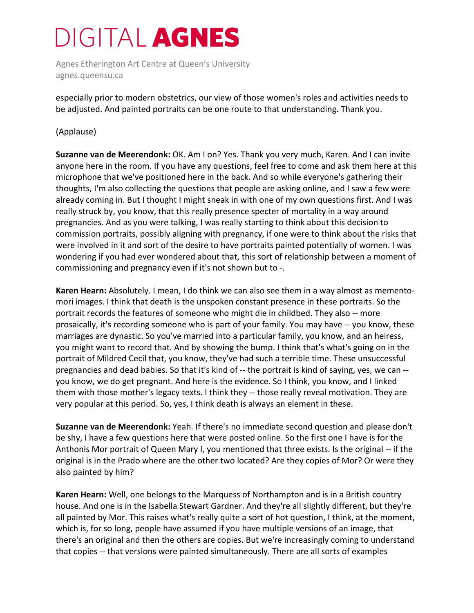Agnes Etherington Art Centre at Queen's University agnes.queensu.ca

especially prior to modern obstetrics, our view of those women's roles and activities needs to be adjusted. And painted portraits can be one route to that understanding. Thank you.

#### (Applause)

**Suzanne van de Meerendonk:** OK. Am I on? Yes. Thank you very much, Karen. And I can invite anyone here in the room. If you have any questions, feel free to come and ask them here at this microphone that we've positioned here in the back. And so while everyone's gathering their thoughts, I'm also collecting the questions that people are asking online, and I saw a few were already coming in. But I thought I might sneak in with one of my own questions first. And I was really struck by, you know, that this really presence specter of mortality in a way around pregnancies. And as you were talking, I was really starting to think about this decision to commission portraits, possibly aligning with pregnancy, if one were to think about the risks that were involved in it and sort of the desire to have portraits painted potentially of women. I was wondering if you had ever wondered about that, this sort of relationship between a moment of commissioning and pregnancy even if it's not shown but to -.

**Karen Hearn:** Absolutely. I mean, I do think we can also see them in a way almost as mementomori images. I think that death is the unspoken constant presence in these portraits. So the portrait records the features of someone who might die in childbed. They also -- more prosaically, it's recording someone who is part of your family. You may have -- you know, these marriages are dynastic. So you've married into a particular family, you know, and an heiress, you might want to record that. And by showing the bump. I think that's what's going on in the portrait of Mildred Cecil that, you know, they've had such a terrible time. These unsuccessful pregnancies and dead babies. So that it's kind of -- the portrait is kind of saying, yes, we can - you know, we do get pregnant. And here is the evidence. So I think, you know, and I linked them with those mother's legacy texts. I think they -- those really reveal motivation. They are very popular at this period. So, yes, I think death is always an element in these.

**Suzanne van de Meerendonk:** Yeah. If there's no immediate second question and please don't be shy, I have a few questions here that were posted online. So the first one I have is for the Anthonis Mor portrait of Queen Mary I, you mentioned that three exists. Is the original -- if the original is in the Prado where are the other two located? Are they copies of Mor? Or were they also painted by him?

**Karen Hearn:** Well, one belongs to the Marquess of Northampton and is in a British country house. And one is in the Isabella Stewart Gardner. And they're all slightly different, but they're all painted by Mor. This raises what's really quite a sort of hot question, I think, at the moment, which is, for so long, people have assumed if you have multiple versions of an image, that there's an original and then the others are copies. But we're increasingly coming to understand that copies -- that versions were painted simultaneously. There are all sorts of examples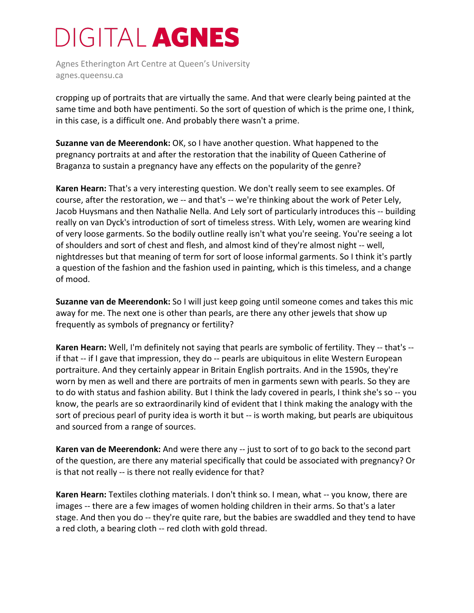Agnes Etherington Art Centre at Queen's University agnes.queensu.ca

cropping up of portraits that are virtually the same. And that were clearly being painted at the same time and both have pentimenti. So the sort of question of which is the prime one, I think, in this case, is a difficult one. And probably there wasn't a prime.

**Suzanne van de Meerendonk:** OK, so I have another question. What happened to the pregnancy portraits at and after the restoration that the inability of Queen Catherine of Braganza to sustain a pregnancy have any effects on the popularity of the genre?

**Karen Hearn:** That's a very interesting question. We don't really seem to see examples. Of course, after the restoration, we -- and that's -- we're thinking about the work of Peter Lely, Jacob Huysmans and then Nathalie Nella. And Lely sort of particularly introduces this -- building really on van Dyck's introduction of sort of timeless stress. With Lely, women are wearing kind of very loose garments. So the bodily outline really isn't what you're seeing. You're seeing a lot of shoulders and sort of chest and flesh, and almost kind of they're almost night -- well, nightdresses but that meaning of term for sort of loose informal garments. So I think it's partly a question of the fashion and the fashion used in painting, which is this timeless, and a change of mood.

**Suzanne van de Meerendonk:** So I will just keep going until someone comes and takes this mic away for me. The next one is other than pearls, are there any other jewels that show up frequently as symbols of pregnancy or fertility?

**Karen Hearn:** Well, I'm definitely not saying that pearls are symbolic of fertility. They -- that's - if that -- if I gave that impression, they do -- pearls are ubiquitous in elite Western European portraiture. And they certainly appear in Britain English portraits. And in the 1590s, they're worn by men as well and there are portraits of men in garments sewn with pearls. So they are to do with status and fashion ability. But I think the lady covered in pearls, I think she's so -- you know, the pearls are so extraordinarily kind of evident that I think making the analogy with the sort of precious pearl of purity idea is worth it but -- is worth making, but pearls are ubiquitous and sourced from a range of sources.

**Karen van de Meerendonk:** And were there any -- just to sort of to go back to the second part of the question, are there any material specifically that could be associated with pregnancy? Or is that not really -- is there not really evidence for that?

**Karen Hearn:** Textiles clothing materials. I don't think so. I mean, what -- you know, there are images -- there are a few images of women holding children in their arms. So that's a later stage. And then you do -- they're quite rare, but the babies are swaddled and they tend to have a red cloth, a bearing cloth -- red cloth with gold thread.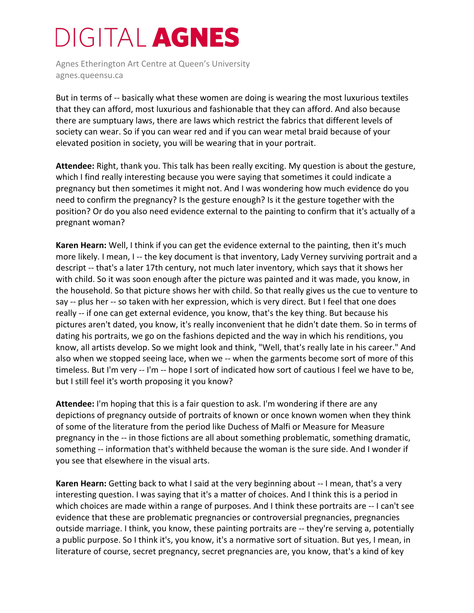Agnes Etherington Art Centre at Queen's University agnes.queensu.ca

But in terms of -- basically what these women are doing is wearing the most luxurious textiles that they can afford, most luxurious and fashionable that they can afford. And also because there are sumptuary laws, there are laws which restrict the fabrics that different levels of society can wear. So if you can wear red and if you can wear metal braid because of your elevated position in society, you will be wearing that in your portrait.

**Attendee:** Right, thank you. This talk has been really exciting. My question is about the gesture, which I find really interesting because you were saying that sometimes it could indicate a pregnancy but then sometimes it might not. And I was wondering how much evidence do you need to confirm the pregnancy? Is the gesture enough? Is it the gesture together with the position? Or do you also need evidence external to the painting to confirm that it's actually of a pregnant woman?

**Karen Hearn:** Well, I think if you can get the evidence external to the painting, then it's much more likely. I mean, I -- the key document is that inventory, Lady Verney surviving portrait and a descript -- that's a later 17th century, not much later inventory, which says that it shows her with child. So it was soon enough after the picture was painted and it was made, you know, in the household. So that picture shows her with child. So that really gives us the cue to venture to say -- plus her -- so taken with her expression, which is very direct. But I feel that one does really -- if one can get external evidence, you know, that's the key thing. But because his pictures aren't dated, you know, it's really inconvenient that he didn't date them. So in terms of dating his portraits, we go on the fashions depicted and the way in which his renditions, you know, all artists develop. So we might look and think, "Well, that's really late in his career." And also when we stopped seeing lace, when we -- when the garments become sort of more of this timeless. But I'm very -- I'm -- hope I sort of indicated how sort of cautious I feel we have to be, but I still feel it's worth proposing it you know?

**Attendee:** I'm hoping that this is a fair question to ask. I'm wondering if there are any depictions of pregnancy outside of portraits of known or once known women when they think of some of the literature from the period like Duchess of Malfi or Measure for Measure pregnancy in the -- in those fictions are all about something problematic, something dramatic, something -- information that's withheld because the woman is the sure side. And I wonder if you see that elsewhere in the visual arts.

**Karen Hearn:** Getting back to what I said at the very beginning about -- I mean, that's a very interesting question. I was saying that it's a matter of choices. And I think this is a period in which choices are made within a range of purposes. And I think these portraits are -- I can't see evidence that these are problematic pregnancies or controversial pregnancies, pregnancies outside marriage. I think, you know, these painting portraits are -- they're serving a, potentially a public purpose. So I think it's, you know, it's a normative sort of situation. But yes, I mean, in literature of course, secret pregnancy, secret pregnancies are, you know, that's a kind of key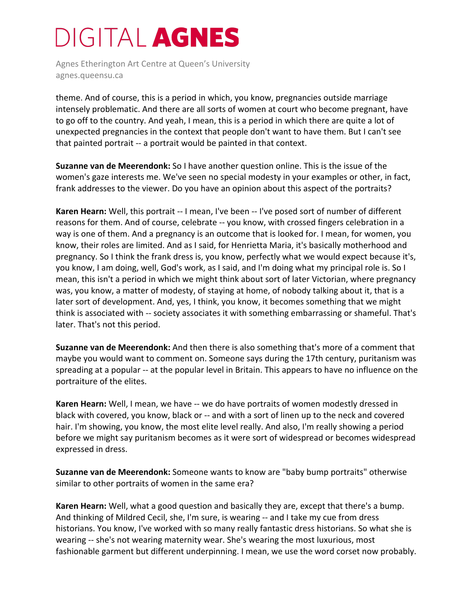Agnes Etherington Art Centre at Queen's University agnes.queensu.ca

theme. And of course, this is a period in which, you know, pregnancies outside marriage intensely problematic. And there are all sorts of women at court who become pregnant, have to go off to the country. And yeah, I mean, this is a period in which there are quite a lot of unexpected pregnancies in the context that people don't want to have them. But I can't see that painted portrait -- a portrait would be painted in that context.

**Suzanne van de Meerendonk:** So I have another question online. This is the issue of the women's gaze interests me. We've seen no special modesty in your examples or other, in fact, frank addresses to the viewer. Do you have an opinion about this aspect of the portraits?

**Karen Hearn:** Well, this portrait -- I mean, I've been -- I've posed sort of number of different reasons for them. And of course, celebrate -- you know, with crossed fingers celebration in a way is one of them. And a pregnancy is an outcome that is looked for. I mean, for women, you know, their roles are limited. And as I said, for Henrietta Maria, it's basically motherhood and pregnancy. So I think the frank dress is, you know, perfectly what we would expect because it's, you know, I am doing, well, God's work, as I said, and I'm doing what my principal role is. So I mean, this isn't a period in which we might think about sort of later Victorian, where pregnancy was, you know, a matter of modesty, of staying at home, of nobody talking about it, that is a later sort of development. And, yes, I think, you know, it becomes something that we might think is associated with -- society associates it with something embarrassing or shameful. That's later. That's not this period.

**Suzanne van de Meerendonk:** And then there is also something that's more of a comment that maybe you would want to comment on. Someone says during the 17th century, puritanism was spreading at a popular -- at the popular level in Britain. This appears to have no influence on the portraiture of the elites.

**Karen Hearn:** Well, I mean, we have -- we do have portraits of women modestly dressed in black with covered, you know, black or -- and with a sort of linen up to the neck and covered hair. I'm showing, you know, the most elite level really. And also, I'm really showing a period before we might say puritanism becomes as it were sort of widespread or becomes widespread expressed in dress.

**Suzanne van de Meerendonk:** Someone wants to know are "baby bump portraits" otherwise similar to other portraits of women in the same era?

**Karen Hearn:** Well, what a good question and basically they are, except that there's a bump. And thinking of Mildred Cecil, she, I'm sure, is wearing -- and I take my cue from dress historians. You know, I've worked with so many really fantastic dress historians. So what she is wearing -- she's not wearing maternity wear. She's wearing the most luxurious, most fashionable garment but different underpinning. I mean, we use the word corset now probably.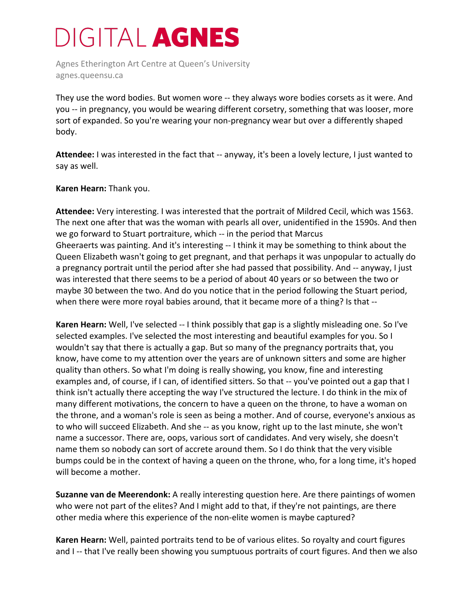Agnes Etherington Art Centre at Queen's University agnes.queensu.ca

They use the word bodies. But women wore -- they always wore bodies corsets as it were. And you -- in pregnancy, you would be wearing different corsetry, something that was looser, more sort of expanded. So you're wearing your non-pregnancy wear but over a differently shaped body.

**Attendee:** I was interested in the fact that -- anyway, it's been a lovely lecture, I just wanted to say as well.

#### **Karen Hearn:** Thank you.

**Attendee:** Very interesting. I was interested that the portrait of Mildred Cecil, which was 1563. The next one after that was the woman with pearls all over, unidentified in the 1590s. And then we go forward to Stuart portraiture, which -- in the period that Marcus Gheeraerts was painting. And it's interesting -- I think it may be something to think about the Queen Elizabeth wasn't going to get pregnant, and that perhaps it was unpopular to actually do a pregnancy portrait until the period after she had passed that possibility. And -- anyway, I just was interested that there seems to be a period of about 40 years or so between the two or maybe 30 between the two. And do you notice that in the period following the Stuart period, when there were more royal babies around, that it became more of a thing? Is that --

**Karen Hearn:** Well, I've selected -- I think possibly that gap is a slightly misleading one. So I've selected examples. I've selected the most interesting and beautiful examples for you. So I wouldn't say that there is actually a gap. But so many of the pregnancy portraits that, you know, have come to my attention over the years are of unknown sitters and some are higher quality than others. So what I'm doing is really showing, you know, fine and interesting examples and, of course, if I can, of identified sitters. So that -- you've pointed out a gap that I think isn't actually there accepting the way I've structured the lecture. I do think in the mix of many different motivations, the concern to have a queen on the throne, to have a woman on the throne, and a woman's role is seen as being a mother. And of course, everyone's anxious as to who will succeed Elizabeth. And she -- as you know, right up to the last minute, she won't name a successor. There are, oops, various sort of candidates. And very wisely, she doesn't name them so nobody can sort of accrete around them. So I do think that the very visible bumps could be in the context of having a queen on the throne, who, for a long time, it's hoped will become a mother.

**Suzanne van de Meerendonk:** A really interesting question here. Are there paintings of women who were not part of the elites? And I might add to that, if they're not paintings, are there other media where this experience of the non-elite women is maybe captured?

**Karen Hearn:** Well, painted portraits tend to be of various elites. So royalty and court figures and I -- that I've really been showing you sumptuous portraits of court figures. And then we also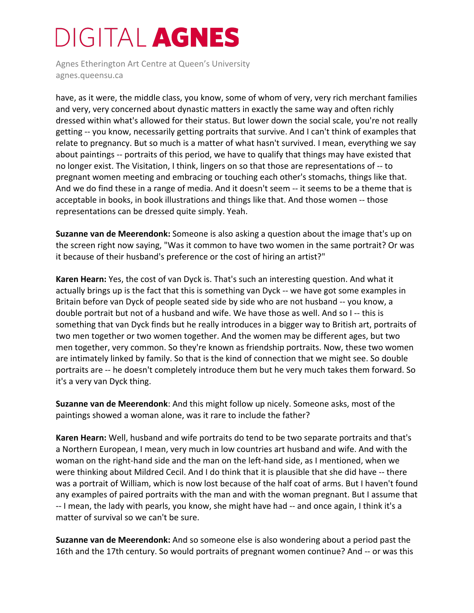Agnes Etherington Art Centre at Queen's University agnes.queensu.ca

have, as it were, the middle class, you know, some of whom of very, very rich merchant families and very, very concerned about dynastic matters in exactly the same way and often richly dressed within what's allowed for their status. But lower down the social scale, you're not really getting -- you know, necessarily getting portraits that survive. And I can't think of examples that relate to pregnancy. But so much is a matter of what hasn't survived. I mean, everything we say about paintings -- portraits of this period, we have to qualify that things may have existed that no longer exist. The Visitation, I think, lingers on so that those are representations of -- to pregnant women meeting and embracing or touching each other's stomachs, things like that. And we do find these in a range of media. And it doesn't seem -- it seems to be a theme that is acceptable in books, in book illustrations and things like that. And those women -- those representations can be dressed quite simply. Yeah.

**Suzanne van de Meerendonk:** Someone is also asking a question about the image that's up on the screen right now saying, "Was it common to have two women in the same portrait? Or was it because of their husband's preference or the cost of hiring an artist?"

**Karen Hearn:** Yes, the cost of van Dyck is. That's such an interesting question. And what it actually brings up is the fact that this is something van Dyck -- we have got some examples in Britain before van Dyck of people seated side by side who are not husband -- you know, a double portrait but not of a husband and wife. We have those as well. And so I -- this is something that van Dyck finds but he really introduces in a bigger way to British art, portraits of two men together or two women together. And the women may be different ages, but two men together, very common. So they're known as friendship portraits. Now, these two women are intimately linked by family. So that is the kind of connection that we might see. So double portraits are -- he doesn't completely introduce them but he very much takes them forward. So it's a very van Dyck thing.

**Suzanne van de Meerendonk**: And this might follow up nicely. Someone asks, most of the paintings showed a woman alone, was it rare to include the father?

**Karen Hearn:** Well, husband and wife portraits do tend to be two separate portraits and that's a Northern European, I mean, very much in low countries art husband and wife. And with the woman on the right-hand side and the man on the left-hand side, as I mentioned, when we were thinking about Mildred Cecil. And I do think that it is plausible that she did have -- there was a portrait of William, which is now lost because of the half coat of arms. But I haven't found any examples of paired portraits with the man and with the woman pregnant. But I assume that -- I mean, the lady with pearls, you know, she might have had -- and once again, I think it's a matter of survival so we can't be sure.

**Suzanne van de Meerendonk:** And so someone else is also wondering about a period past the 16th and the 17th century. So would portraits of pregnant women continue? And -- or was this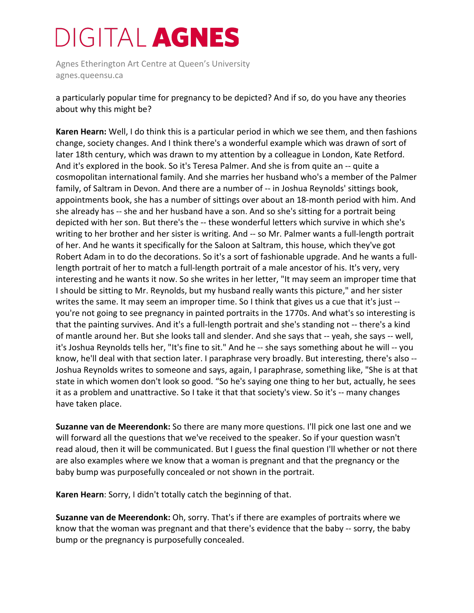Agnes Etherington Art Centre at Queen's University agnes.queensu.ca

a particularly popular time for pregnancy to be depicted? And if so, do you have any theories about why this might be?

**Karen Hearn:** Well, I do think this is a particular period in which we see them, and then fashions change, society changes. And I think there's a wonderful example which was drawn of sort of later 18th century, which was drawn to my attention by a colleague in London, Kate Retford. And it's explored in the book. So it's Teresa Palmer. And she is from quite an -- quite a cosmopolitan international family. And she marries her husband who's a member of the Palmer family, of Saltram in Devon. And there are a number of -- in Joshua Reynolds' sittings book, appointments book, she has a number of sittings over about an 18-month period with him. And she already has -- she and her husband have a son. And so she's sitting for a portrait being depicted with her son. But there's the -- these wonderful letters which survive in which she's writing to her brother and her sister is writing. And -- so Mr. Palmer wants a full-length portrait of her. And he wants it specifically for the Saloon at Saltram, this house, which they've got Robert Adam in to do the decorations. So it's a sort of fashionable upgrade. And he wants a fulllength portrait of her to match a full-length portrait of a male ancestor of his. It's very, very interesting and he wants it now. So she writes in her letter, "It may seem an improper time that I should be sitting to Mr. Reynolds, but my husband really wants this picture," and her sister writes the same. It may seem an improper time. So I think that gives us a cue that it's just -you're not going to see pregnancy in painted portraits in the 1770s. And what's so interesting is that the painting survives. And it's a full-length portrait and she's standing not -- there's a kind of mantle around her. But she looks tall and slender. And she says that -- yeah, she says -- well, it's Joshua Reynolds tells her, "It's fine to sit." And he -- she says something about he will -- you know, he'll deal with that section later. I paraphrase very broadly. But interesting, there's also -- Joshua Reynolds writes to someone and says, again, I paraphrase, something like, "She is at that state in which women don't look so good. "So he's saying one thing to her but, actually, he sees it as a problem and unattractive. So I take it that that society's view. So it's -- many changes have taken place.

**Suzanne van de Meerendonk:** So there are many more questions. I'll pick one last one and we will forward all the questions that we've received to the speaker. So if your question wasn't read aloud, then it will be communicated. But I guess the final question I'll whether or not there are also examples where we know that a woman is pregnant and that the pregnancy or the baby bump was purposefully concealed or not shown in the portrait.

**Karen Hearn**: Sorry, I didn't totally catch the beginning of that.

**Suzanne van de Meerendonk:** Oh, sorry. That's if there are examples of portraits where we know that the woman was pregnant and that there's evidence that the baby -- sorry, the baby bump or the pregnancy is purposefully concealed.